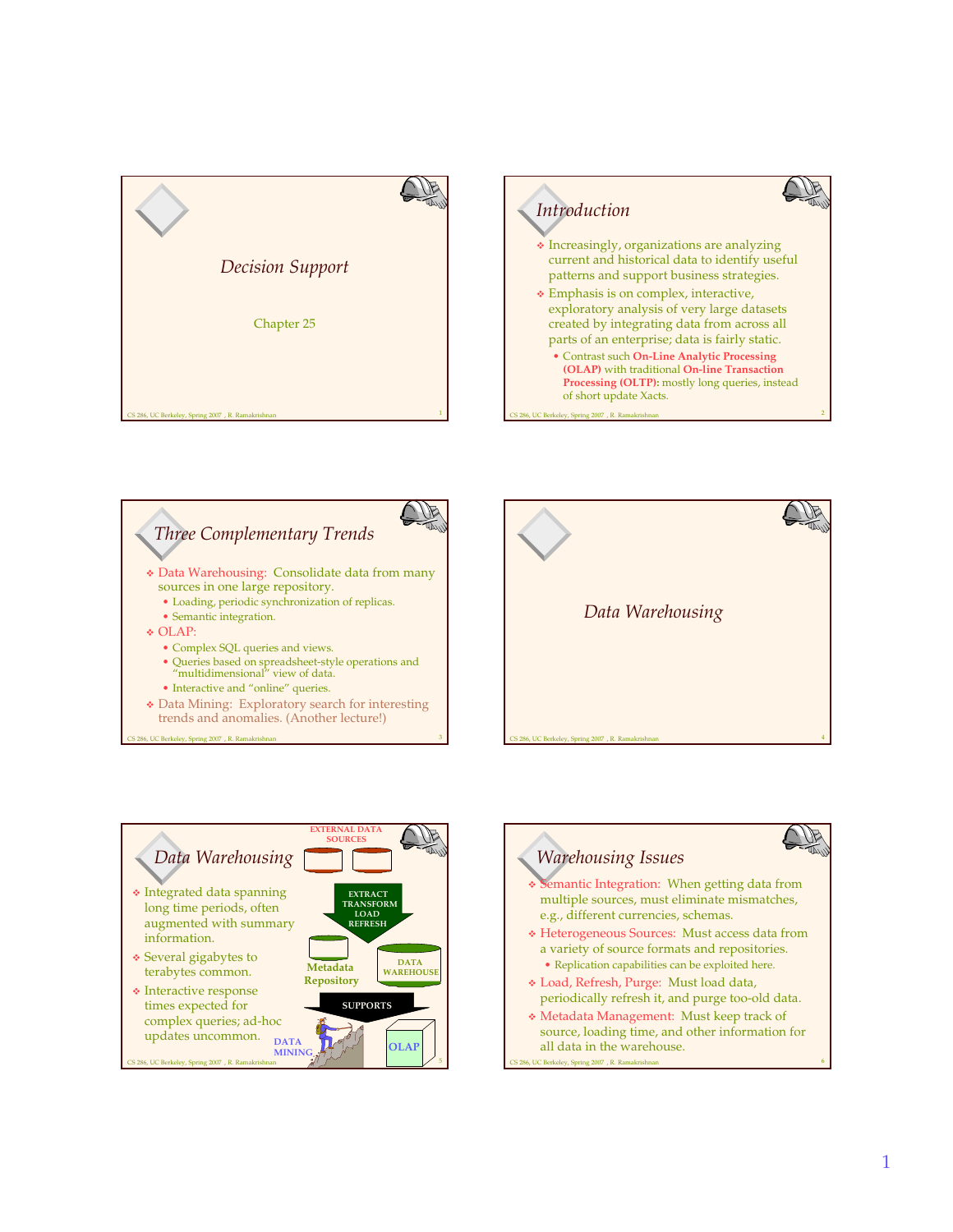

3







CS 286, UC Berkeley, Spring 2007 , R. Ramakrishnan

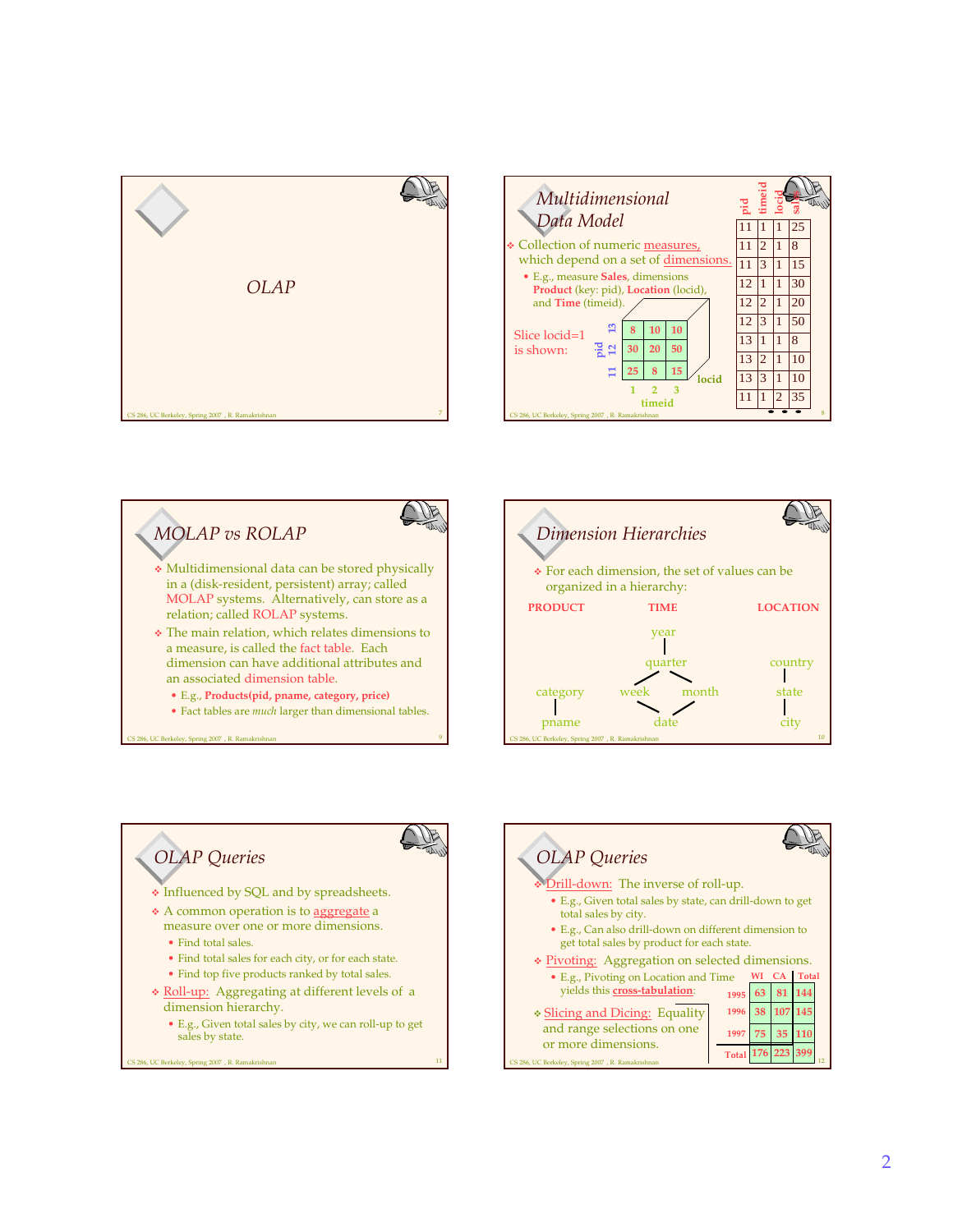







## B *OLAP Queries* Influenced by SQL and by spreadsheets. \* A common operation is to aggregate a measure over one or more dimensions. • Find total sales. • Find total sales for each city, or for each state. • Find top five products ranked by total sales. \* Roll-up: Aggregating at different levels of a dimension hierarchy. • E.g., Given total sales by city, we can roll-up to get sales by state. CS 286, UC Berkeley, Spring 2007 , R. Ramakrishnan 11

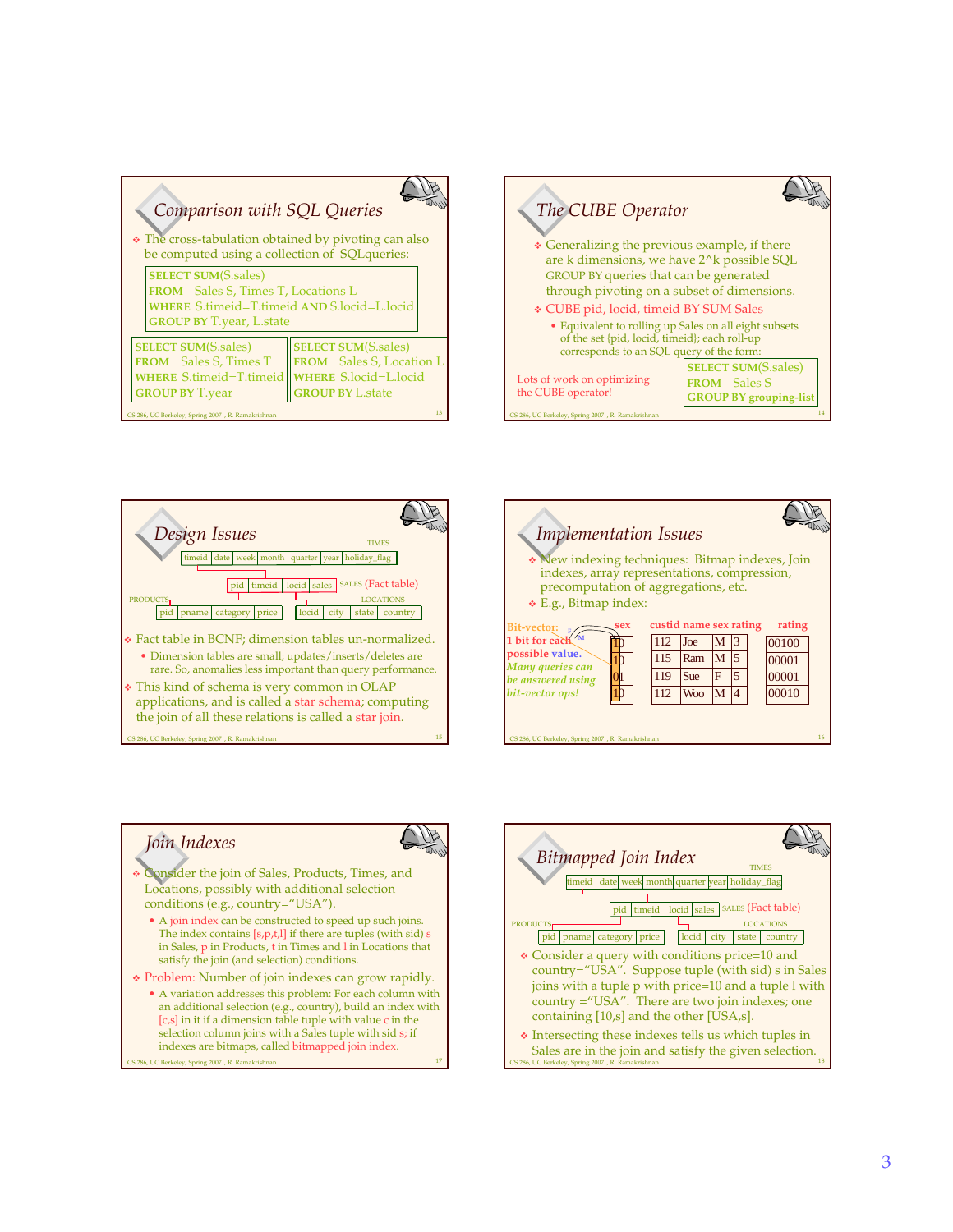| Comparison with SQL Queries<br>• The cross-tabulation obtained by pivoting can also<br>be computed using a collection of SQLqueries:                      |                                                                                                                   |
|-----------------------------------------------------------------------------------------------------------------------------------------------------------|-------------------------------------------------------------------------------------------------------------------|
| <b>SELECT SUM(S.sales)</b><br><b>FROM</b> Sales S, Times T, Locations L<br>WHERE S.timeid=T.timeid AND S.locid=L.locid<br><b>GROUP BY T.year, L.state</b> |                                                                                                                   |
| <b>SELECT SUM(S.sales)</b><br><b>FROM</b> Sales S, Times T<br><b>WHERE S.timeid=T.timeid</b><br><b>GROUP BY T.year</b>                                    | <b>SELECT SUM(S.sales)</b><br>FROM Sales S, Location L<br><b>WHERE S.locid=L.locid</b><br><b>GROUP BY L.state</b> |
| 13<br>'S 286, UC Berkeley, Spring 2007 , R. Ramakrishnan                                                                                                  |                                                                                                                   |







## *Join Indexes*



17

- Consider the join of Sales, Products, Times, and Locations, possibly with additional selection conditions (e.g., country="USA").
	- A join index can be constructed to speed up such joins. The index contains [s,p,t,l] if there are tuples (with sid) s in Sales, p in Products, t in Times and l in Locations that satisfy the join (and selection) conditions.
- Problem: Number of join indexes can grow rapidly.
- 286, UC Berkeley, Spring 2007 , R. Ramakrishna • A variation addresses this problem: For each column with an additional selection (e.g., country), build an index with [c,s] in it if a dimension table tuple with value c in the selection column joins with a Sales tuple with sid s; if indexes are bitmaps, called bitmapped join index.

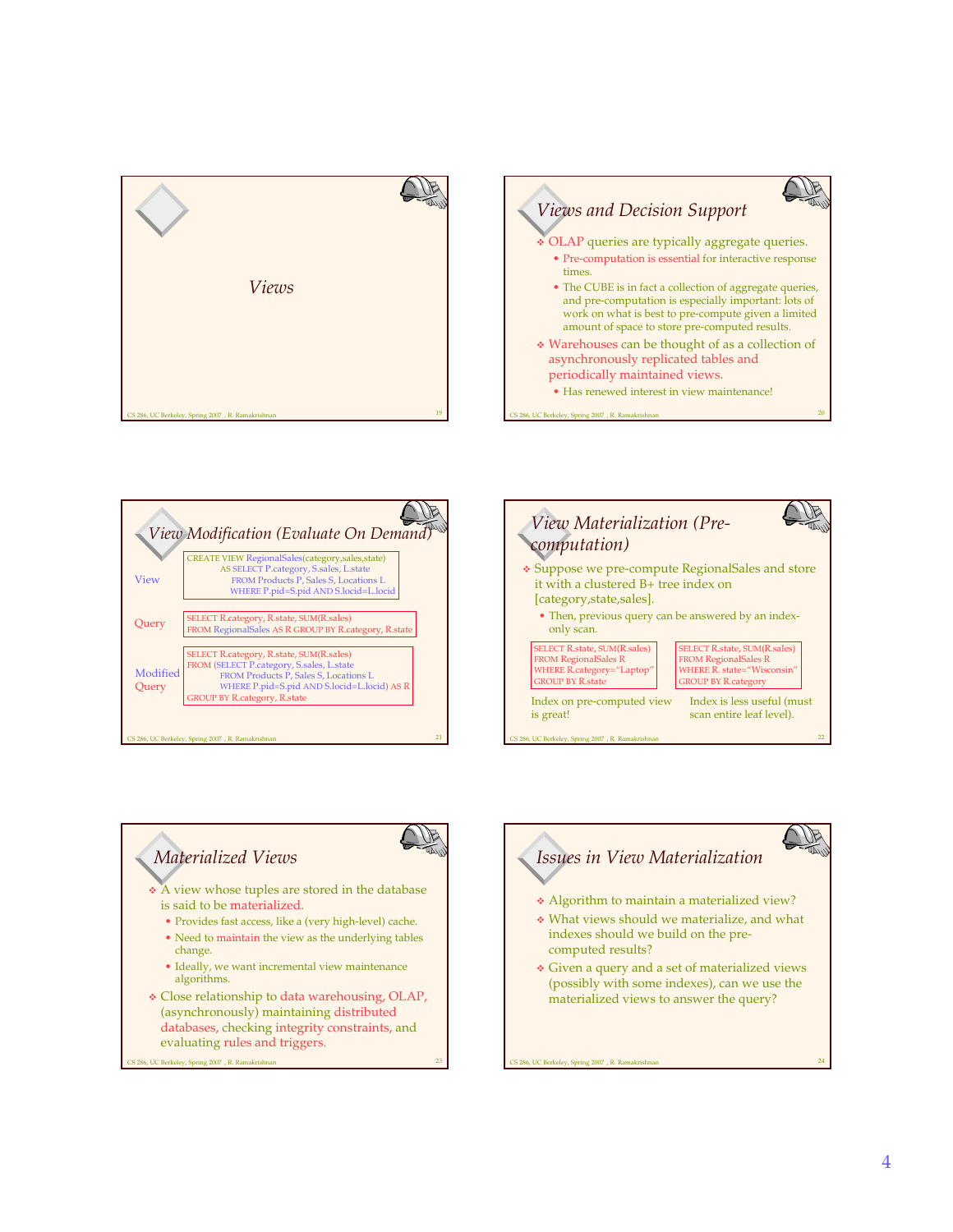







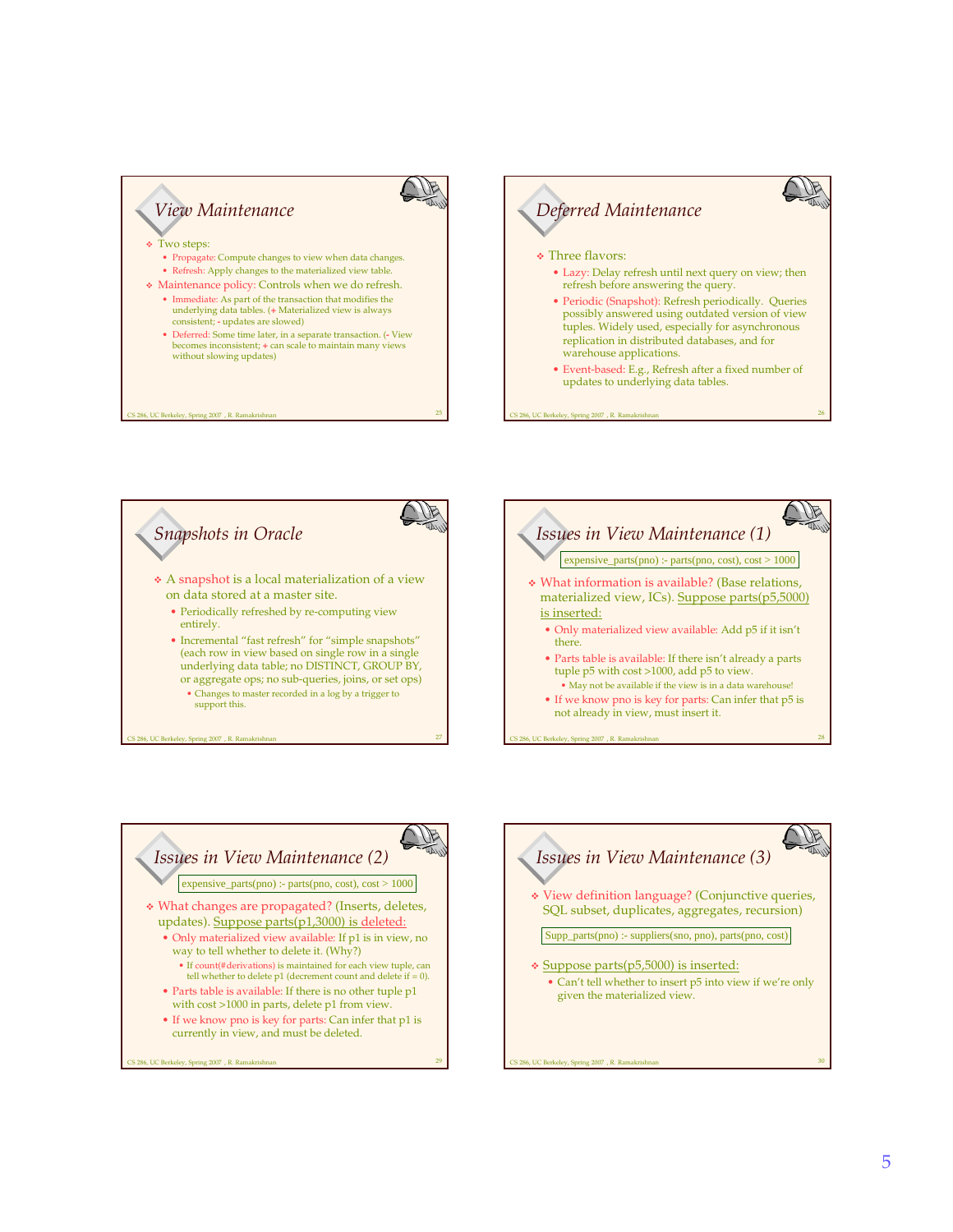





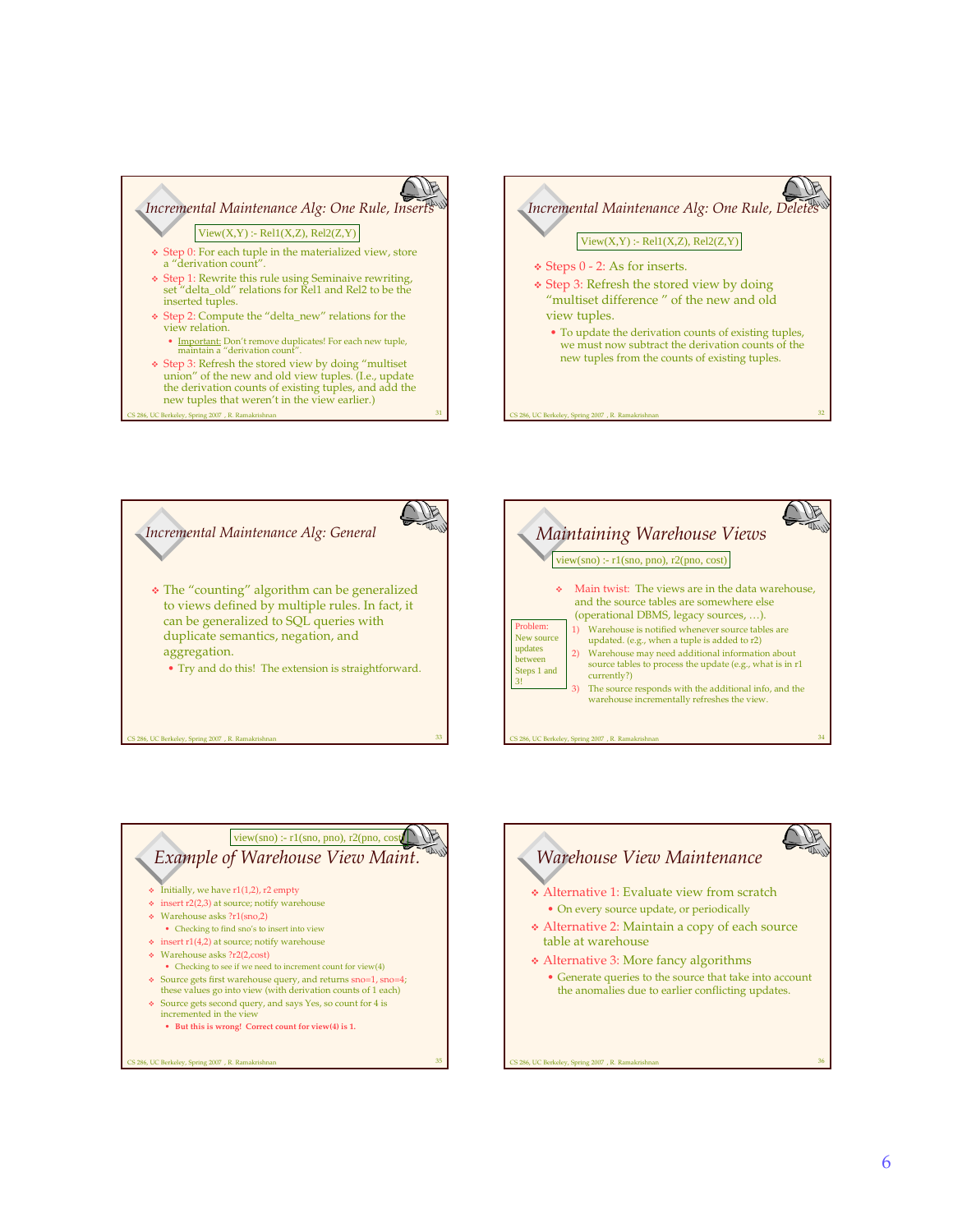

 $2007$  , R. Ra